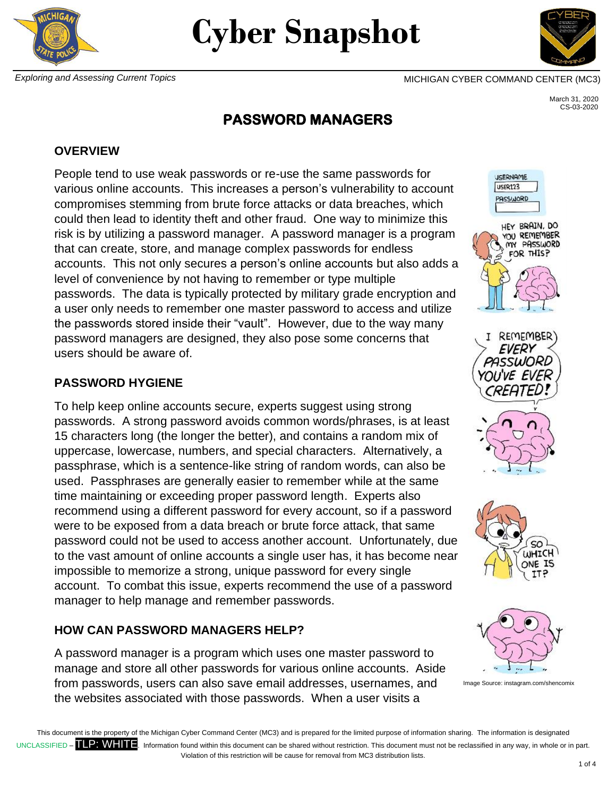



 March 31, 2020 CS-03-2020

# **PASSWORD MANAGERS**

#### **OVERVIEW**

People tend to use weak passwords or re-use the same passwords for various online accounts. This increases a person's vulnerability to account compromises stemming from brute force attacks or data breaches, which could then lead to identity theft and other fraud. One way to minimize this risk is by utilizing a password manager. A password manager is a program that can create, store, and manage complex passwords for endless accounts. This not only secures a person's online accounts but also adds a level of convenience by not having to remember or type multiple passwords. The data is typically protected by military grade encryption and a user only needs to remember one master password to access and utilize the passwords stored inside their "vault". However, due to the way many password managers are designed, they also pose some concerns that users should be aware of.

#### **PASSWORD HYGIENE**

To help keep online accounts secure, experts suggest using strong passwords. A strong password avoids common words/phrases, is at least 15 characters long (the longer the better), and contains a random mix of uppercase, lowercase, numbers, and special characters. Alternatively, a passphrase, which is a sentence-like string of random words, can also be used. Passphrases are generally easier to remember while at the same time maintaining or exceeding proper password length. Experts also recommend using a different password for every account, so if a password were to be exposed from a data breach or brute force attack, that same password could not be used to access another account. Unfortunately, due to the vast amount of online accounts a single user has, it has become near impossible to memorize a strong, unique password for every single account. To combat this issue, experts recommend the use of a password manager to help manage and remember passwords.

## **HOW CAN PASSWORD MANAGERS HELP?**

A password manager is a program which uses one master password to manage and store all other passwords for various online accounts. Aside from passwords, users can also save email addresses, usernames, and the websites associated with those passwords. When a user visits a



**JSERNAME** 







Image Source: instagram.com/shencomix

This document is the property of the Michigan Cyber Command Center (MC3) and is prepared for the limited purpose of information sharing. The information is designated UNCLASSIFIED – **TLP: WHITE**. Information found within this document can be shared without restriction. This document must not be reclassified in any way, in whole or in part. Violation of this restriction will be cause for removal from MC3 distribution lists.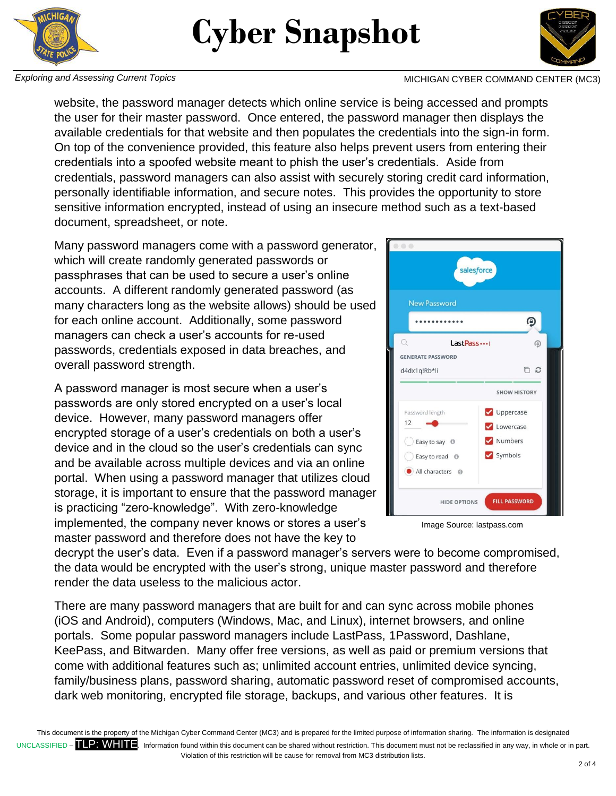



*Exploring and Assessing Current Topics* MICHIGAN CYBER COMMAND CENTER (MC3)

website, the password manager detects which online service is being accessed and prompts the user for their master password. Once entered, the password manager then displays the available credentials for that website and then populates the credentials into the sign-in form. On top of the convenience provided, this feature also helps prevent users from entering their credentials into a spoofed website meant to phish the user's credentials. Aside from credentials, password managers can also assist with securely storing credit card information, personally identifiable information, and secure notes. This provides the opportunity to store sensitive information encrypted, instead of using an insecure method such as a text-based document, spreadsheet, or note.

Many password managers come with a password generator, which will create randomly generated passwords or passphrases that can be used to secure a user's online accounts. A different randomly generated password (as many characters long as the website allows) should be used for each online account. Additionally, some password managers can check a user's accounts for re-used passwords, credentials exposed in data breaches, and overall password strength.

A password manager is most secure when a user's passwords are only stored encrypted on a user's local device. However, many password managers offer encrypted storage of a user's credentials on both a user's device and in the cloud so the user's credentials can sync and be available across multiple devices and via an online portal. When using a password manager that utilizes cloud storage, it is important to ensure that the password manager is practicing "zero-knowledge". With zero-knowledge implemented, the company never knows or stores a user's master password and therefore does not have the key to

salesforce **New Password** ⊕ Last Pass ...  $\circledR$ **GENERATE PASSWORD** n a d4dx1a!Rb\*li **SHOW HISTORY** Password length Uppercase  $12$ Lowercase Numbers Easy to say <sup>O</sup> Symbols Easy to read <sup>O</sup> All characters @ **HIDE OPTIONS FILL PASSWORD** 

Image Source: lastpass.com

decrypt the user's data. Even if a password manager's servers were to become compromised, the data would be encrypted with the user's strong, unique master password and therefore render the data useless to the malicious actor.

There are many password managers that are built for and can sync across mobile phones (iOS and Android), computers (Windows, Mac, and Linux), internet browsers, and online portals. Some popular password managers include LastPass, 1Password, Dashlane, KeePass, and Bitwarden. Many offer free versions, as well as paid or premium versions that come with additional features such as; unlimited account entries, unlimited device syncing, family/business plans, password sharing, automatic password reset of compromised accounts, dark web monitoring, encrypted file storage, backups, and various other features. It is

This document is the property of the Michigan Cyber Command Center (MC3) and is prepared for the limited purpose of information sharing. The information is designated UNCLASSIFIED – **TLP: WHITE**. Information found within this document can be shared without restriction. This document must not be reclassified in any way, in whole or in part. Violation of this restriction will be cause for removal from MC3 distribution lists.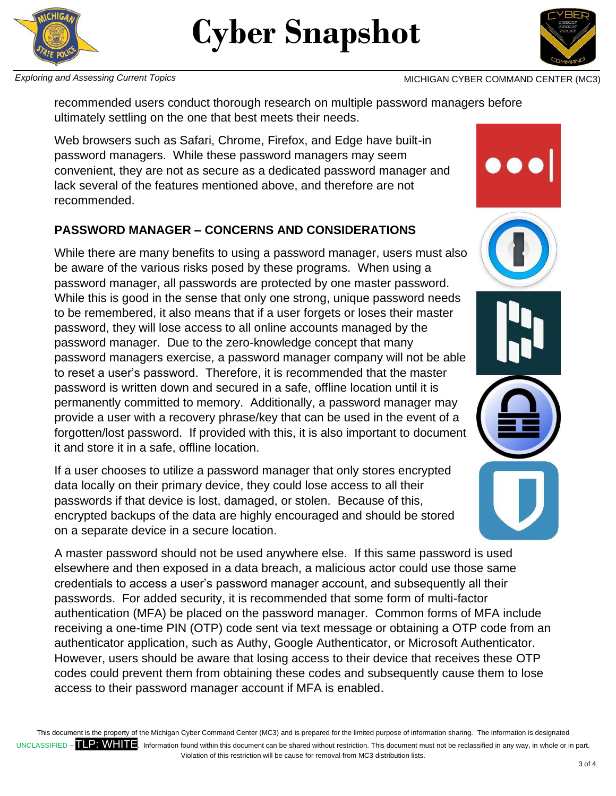



**Exploring and Assessing Current Topics** MICHIGAN CYBER COMMAND CENTER (MC3)

recommended users conduct thorough research on multiple password managers before ultimately settling on the one that best meets their needs.

Web browsers such as Safari, Chrome, Firefox, and Edge have built-in password managers. While these password managers may seem convenient, they are not as secure as a dedicated password manager and lack several of the features mentioned above, and therefore are not recommended.

### **PASSWORD MANAGER – CONCERNS AND CONSIDERATIONS**

While there are many benefits to using a password manager, users must also be aware of the various risks posed by these programs. When using a password manager, all passwords are protected by one master password. While this is good in the sense that only one strong, unique password needs to be remembered, it also means that if a user forgets or loses their master password, they will lose access to all online accounts managed by the password manager. Due to the zero-knowledge concept that many password managers exercise, a password manager company will not be able to reset a user's password. Therefore, it is recommended that the master password is written down and secured in a safe, offline location until it is permanently committed to memory. Additionally, a password manager may provide a user with a recovery phrase/key that can be used in the event of a forgotten/lost password. If provided with this, it is also important to document it and store it in a safe, offline location.

If a user chooses to utilize a password manager that only stores encrypted data locally on their primary device, they could lose access to all their passwords if that device is lost, damaged, or stolen. Because of this, encrypted backups of the data are highly encouraged and should be stored on a separate device in a secure location.

A master password should not be used anywhere else. If this same password is used elsewhere and then exposed in a data breach, a malicious actor could use those same credentials to access a user's password manager account, and subsequently all their passwords. For added security, it is recommended that some form of multi-factor authentication (MFA) be placed on the password manager. Common forms of MFA include receiving a one-time PIN (OTP) code sent via text message or obtaining a OTP code from an authenticator application, such as Authy, Google Authenticator, or Microsoft Authenticator. However, users should be aware that losing access to their device that receives these OTP codes could prevent them from obtaining these codes and subsequently cause them to lose access to their password manager account if MFA is enabled.